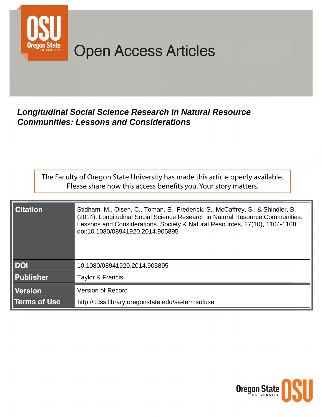

# **Open Access Articles**

# **Longitudinal Social Science Research in Natural Resource Communities: Lessons and Considerations**

The Faculty of Oregon State University has made this article openly available. Please share how this access benefits you. Your story matters.

| <b>Citation</b>     | Stidham, M., Olsen, C., Toman, E., Frederick, S., McCaffrey, S., & Shindler, B.<br>(2014). Longitudinal Social Science Research in Natural Resource Communities:<br>Lessons and Considerations. Society & Natural Resources, 27(10), 1104-1108.<br>doi:10.1080/08941920.2014.905895 |
|---------------------|-------------------------------------------------------------------------------------------------------------------------------------------------------------------------------------------------------------------------------------------------------------------------------------|
| <b>DOI</b>          | 10.1080/08941920.2014.905895                                                                                                                                                                                                                                                        |
| <b>Publisher</b>    | Taylor & Francis                                                                                                                                                                                                                                                                    |
| <b>Version</b>      | <b>Version of Record</b>                                                                                                                                                                                                                                                            |
| <b>Terms of Use</b> | http://cdss.library.oregonstate.edu/sa-termsofuse                                                                                                                                                                                                                                   |

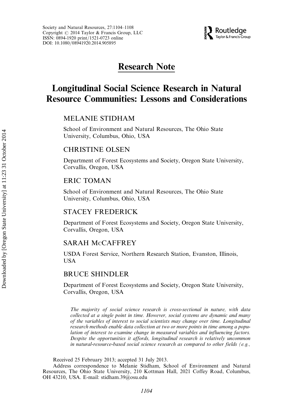

# Research Note

# Longitudinal Social Science Research in Natural Resource Communities: Lessons and Considerations

# MELANIE STIDHAM

School of Environment and Natural Resources, The Ohio State University, Columbus, Ohio, USA

# CHRISTINE OLSEN

Department of Forest Ecosystems and Society, Oregon State University, Corvallis, Oregon, USA

# ERIC TOMAN

School of Environment and Natural Resources, The Ohio State University, Columbus, Ohio, USA

## STACEY FREDERICK

Department of Forest Ecosystems and Society, Oregon State University, Corvallis, Oregon, USA

## SARAH MCCAFFREY

USDA Forest Service, Northern Research Station, Evanston, Illinois, USA

# BRUCE SHINDLER

Department of Forest Ecosystems and Society, Oregon State University, Corvallis, Oregon, USA

The majority of social science research is cross-sectional in nature, with data collected at a single point in time. However, social systems are dynamic and many of the variables of interest to social scientists may change over time. Longitudinal research methods enable data collection at two or more points in time among a population of interest to examine change in measured variables and influencing factors. Despite the opportunities it affords, longitudinal research is relatively uncommon in natural-resource-based social science research as compared to other fields (e.g.,

Received 25 February 2013; accepted 31 July 2013.

Address correspondence to Melanie Stidham, School of Environment and Natural Resources, The Ohio State University, 210 Kottman Hall, 2021 Coffey Road, Columbus, OH 43210, USA. E-mail: stidham.39@osu.edu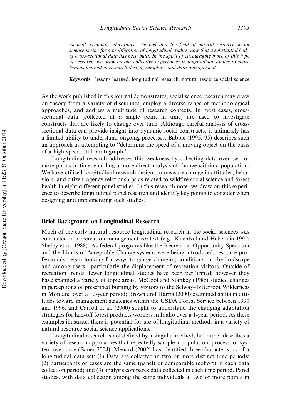medical, criminal, education). We feel that the field of natural resource social science is ripe for a proliferation of longitudinal studies, now that a substantial body of cross-sectional data has been built. In the spirit of encouraging more of this type of research, we draw on our collective experiences in longitudinal studies to share lessons learned in research design, sampling, and data management.

Keywords lessons learned, longitudinal research, natural resource social science

As the work published in this journal demonstrates, social science research may draw on theory from a variety of disciplines, employ a diverse range of methodological approaches, and address a multitude of research contexts. In most cases, crosssectional data (collected at a single point in time) are used to investigate constructs that are likely to change over time. Although careful analysis of crosssectional data can provide insight into dynamic social constructs, it ultimately has a limited ability to understand ongoing processes. Babbie (1995, 95) describes such an approach as attempting to ''determine the speed of a moving object on the basis of a high-speed, still photograph.''

Longitudinal research addresses this weakness by collecting data over two or more points in time, enabling a more direct analysis of change within a population. We have utilized longitudinal research designs to measure change in attitudes, behaviors, and citizen–agency relationships as related to wildfire social science and forest health in eight different panel studies. In this research note, we draw on this experience to describe longitudinal panel research and identify key points to consider when designing and implementing such studies.

#### Brief Background on Longitudinal Research

Much of the early natural resource longitudinal research in the social sciences was conducted in a recreation management context (e.g., Kuentzel and Heberlein 1992; Shelby et al. 1988). As federal programs like the Recreation Opportunity Spectrum and the Limits of Acceptable Change systems were being introduced, resource professionals began looking for ways to gauge changing conditions on the landscape and among users—particularly the displacement of recreation visitors. Outside of recreation trends, fewer longitudinal studies have been performed; however they have spanned a variety of topic areas. McCool and Stankey (1986) studied changes in perceptions of prescribed burning by visitors to the Selway–Bitterroot Wilderness in Montana over a 10-year period; Brown and Harris (2000) examined shifts in attitudes toward management strategies within the USDA Forest Service between 1990 and 1996; and Carroll et al. (2000) sought to understand the changing adaptation strategies for laid-off forest products workers in Idaho over a 1-year period. As these examples illustrate, there is potential for use of longitudinal methods in a variety of natural resource social science applications.

Longitudinal research is not defined by a singular method, but rather describes a variety of research approaches that repeatedly sample a population, process, or system over time (Bauer 2004). Menard (2002) has identified three characteristics of a longitudinal data set: (1) Data are collected in two or more distinct time periods; (2) participants or cases are the same (panel) or comparable (cohort) in each data collection period; and (3) analysis compares data collected in each time period. Panel studies, with data collection among the same individuals at two or more points in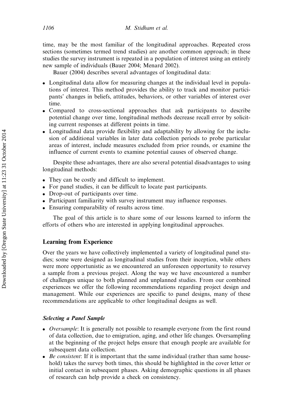time, may be the most familiar of the longitudinal approaches. Repeated cross sections (sometimes termed trend studies) are another common approach; in these studies the survey instrument is repeated in a population of interest using an entirely new sample of individuals (Bauer 2004; Menard 2002).

Bauer (2004) describes several advantages of longitudinal data:

- . Longitudinal data allow for measuring changes at the individual level in populations of interest. This method provides the ability to track and monitor participants' changes in beliefs, attitudes, behaviors, or other variables of interest over time.
- . Compared to cross-sectional approaches that ask participants to describe potential change over time, longitudinal methods decrease recall error by soliciting current responses at different points in time.
- . Longitudinal data provide flexibility and adaptability by allowing for the inclusion of additional variables in later data collection periods to probe particular areas of interest, include measures excluded from prior rounds, or examine the influence of current events to examine potential causes of observed change.

Despite these advantages, there are also several potential disadvantages to using longitudinal methods:

- . They can be costly and difficult to implement.
- . For panel studies, it can be difficult to locate past participants.
- . Drop-out of participants over time.
- . Participant familiarity with survey instrument may influence responses.
- . Ensuring comparability of results across time.

The goal of this article is to share some of our lessons learned to inform the efforts of others who are interested in applying longitudinal approaches.

# Learning from Experience

Over the years we have collectively implemented a variety of longitudinal panel studies; some were designed as longitudinal studies from their inception, while others were more opportunistic as we encountered an unforeseen opportunity to resurvey a sample from a previous project. Along the way we have encountered a number of challenges unique to both planned and unplanned studies. From our combined experiences we offer the following recommendations regarding project design and management. While our experiences are specific to panel designs, many of these recommendations are applicable to other longitudinal designs as well.

# Selecting a Panel Sample

- *Oversample*: It is generally not possible to resample everyone from the first round of data collection, due to emigration, aging, and other life changes. Oversampling at the beginning of the project helps ensure that enough people are available for subsequent data collection.
- $\bullet$  *Be consistent*: If it is important that the same individual (rather than same household) takes the survey both times, this should be highlighted in the cover letter or initial contact in subsequent phases. Asking demographic questions in all phases of research can help provide a check on consistency.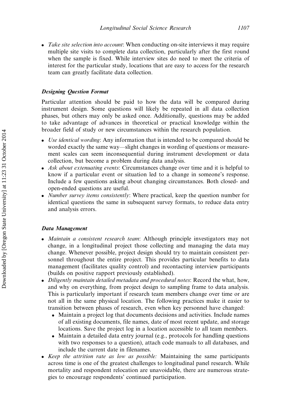• Take site selection into account: When conducting on-site interviews it may require multiple site visits to complete data collection, particularly after the first round when the sample is fixed. While interview sites do need to meet the criteria of interest for the particular study, locations that are easy to access for the research team can greatly facilitate data collection.

## Designing Question Format

Particular attention should be paid to how the data will be compared during instrument design. Some questions will likely be repeated in all data collection phases, but others may only be asked once. Additionally, questions may be added to take advantage of advances in theoretical or practical knowledge within the broader field of study or new circumstances within the research population.

- Use identical wording: Any information that is intended to be compared should be worded exactly the same way—slight changes in wording of questions or measurement scales can seem inconsequential during instrument development or data collection, but become a problem during data analysis.
- . Ask about extenuating events: Circumstances change over time and it is helpful to know if a particular event or situation led to a change in someone's response. Include a few questions asking about changing circumstances. Both closed- and open-ended questions are useful.
- . Number survey items consistently: Where practical, keep the question number for identical questions the same in subsequent survey formats, to reduce data entry and analysis errors.

### Data Management

- . Maintain a consistent research team: Although principle investigators may not change, in a longitudinal project those collecting and managing the data may change. Whenever possible, project design should try to maintain consistent personnel throughout the entire project. This provides particular benefits to data management (facilitates quality control) and recontacting interview participants (builds on positive rapport previously established).
- . Diligently maintain detailed metadata and procedural notes: Record the what, how, and why on everything, from project design to sampling frame to data analysis. This is particularly important if research team members change over time or are not all in the same physical location. The following practices make it easier to transition between phases of research, even when key personnel have changed:
	- . Maintain a project log that documents decisions and activities. Include names of all existing documents, file names, date of most recent update, and storage locations. Save the project log in a location accessible to all team members.
	- . Maintain a detailed data entry journal (e.g., protocols for handling questions with two responses to a question), attach code manuals to all databases, and include the current date in filenames.
- . Keep the attrition rate as low as possible: Maintaining the same participants across time is one of the greatest challenges to longitudinal panel research. While mortality and respondent relocation are unavoidable, there are numerous strategies to encourage respondents' continued participation.